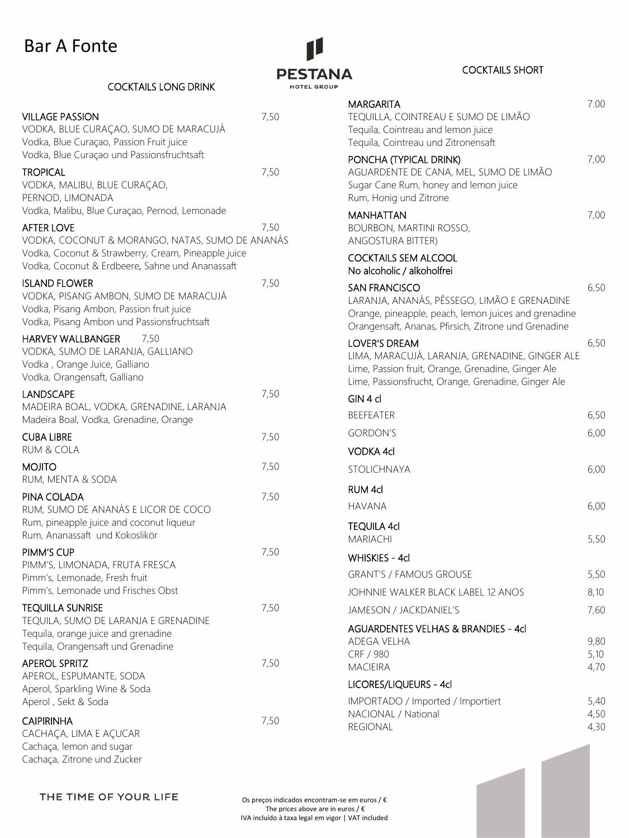## Bar A Fonte



## COCKTAILS SHORT

| MARGARITA<br>TEQUILLA, COINTREAU E SUMO DE LIMÃO                                                                                                                                    | 7.00         |
|-------------------------------------------------------------------------------------------------------------------------------------------------------------------------------------|--------------|
| Tequila, Cointreau and lemon juice<br>Tequila, Cointreau und Zitronensaft                                                                                                           |              |
| PONCHA (TYPICAL DRINK)<br>aguardente de Cana, mel, sumo de limão<br>Sugar Cane Rum, honey and lemon juice<br>Rum, Honig und Zitrone                                                 | 7,00         |
| <b>MANHATTAN</b><br><b>BOURBON, MARTINI ROSSO,</b><br><b>ANGOSTURA BITTER)</b>                                                                                                      | 7,00         |
| <b>COCKTAILS SEM ALCOOL</b><br>No alcoholic / alkoholfrei                                                                                                                           |              |
| <b>SAN FRANCISCO</b><br>LARANJA, ANANÁS, PÊSSEGO, LIMÃO E GRENADINE<br>Orange, pineapple, peach, lemon juices and grenadine<br>Orangensaft, Ananas, Pfirsich, Zitrone und Grenadine | 6,50         |
| <b>LOVER'S DREAM</b><br>LIMA, MARACUJÁ, LARANJA, GRENADINE, GINGER ALE<br>Lime, Passion fruit, Orange, Grenadine, Ginger Ale<br>Lime, Passionsfrucht, Orange, Grenadine, Ginger Ale | 6,50         |
| GIN 4 cl                                                                                                                                                                            |              |
| <b>BEEFEATER</b>                                                                                                                                                                    | 6,50         |
| <b>GORDON'S</b>                                                                                                                                                                     | 6,00         |
| VODKA 4cl                                                                                                                                                                           |              |
| <b>STOLICHNAYA</b>                                                                                                                                                                  | 6,00         |
| <b>RUM 4cl</b>                                                                                                                                                                      |              |
| <b>HAVANA</b>                                                                                                                                                                       | 6,00         |
| <b>TEQUILA 4cl</b><br><b>MARIACHI</b>                                                                                                                                               | 5,50         |
| <b>WHISKIES - 4cl</b>                                                                                                                                                               |              |
| <b>GRANT'S / FAMOUS GROUSE</b>                                                                                                                                                      | 5,50         |
| JOHNNIE WALKER BLACK LABEL 12 ANOS                                                                                                                                                  | 8,10         |
| <b>JAMESON / JACKDANIEL'S</b>                                                                                                                                                       | 7,60         |
| <b>AGUARDENTES VELHAS &amp; BRANDIES - 4cl</b>                                                                                                                                      |              |
| <b>ADEGA VELHA</b>                                                                                                                                                                  | 9,80         |
| CRF / 980<br><b>MACIEIRA</b>                                                                                                                                                        | 5,10<br>4,70 |
| LICORES/LIQUEURS - 4cl                                                                                                                                                              |              |
| IMPORTADO / Imported / Importiert                                                                                                                                                   | 5,40         |
| NACIONAL / National                                                                                                                                                                 | 4,50         |
| REGIONAL                                                                                                                                                                            | 4,30         |

| <b>COCKTAILS LONG DRINK</b> |
|-----------------------------|
|                             |

| <b>VILLAGE PASSION</b><br>VODKA, BLUE CURAÇAO, SUMO DE MARACUJÁ<br>Vodka, Blue Curaçao, Passion Fruit juice<br>Vodka, Blue Curaçao und Passionsfruchtsaft                      | 7,50 |
|--------------------------------------------------------------------------------------------------------------------------------------------------------------------------------|------|
| <b>TROPICAL</b><br>VODKA, MALIBU, BLUE CURAÇAO,<br>PERNOD, LIMONADA<br>Vodka, Malibu, Blue Curaçao, Pernod, Lemonade                                                           | 7,50 |
| <b>AFTER LOVE</b><br>VODKA, COCONUT & MORANGO, NATAS, SUMO DE ANANÁS<br>Vodka, Coconut & Strawberry, Cream, Pineapple juice<br>Vodka, Coconut & Erdbeere, Sahne und Ananassaft | 7,50 |
| <b>ISLAND FLOWER</b><br>VODKA, PISANG AMBON, SUMO DE MARACUJÁ<br>Vodka, Pisang Ambon, Passion fruit juice<br>Vodka, Pisang Ambon und Passionsfruchtsaft                        | 7,50 |
| <b>HARVEY WALLBANGER</b><br>7,50<br>VODKA, SUMO DE LARANJA, GALLIANO<br>Vodka, Orange Juice, Galliano<br>Vodka, Orangensaft, Galliano                                          |      |
| <b>LANDSCAPE</b><br>MADEIRA BOAL, VODKA, GRENADINE, LARANJA<br>Madeira Boal, Vodka, Grenadine, Orange                                                                          | 7,50 |
| <b>CUBA LIBRE</b><br><b>RUM &amp; COLA</b>                                                                                                                                     | 7,50 |
| <b>MOJITO</b><br>RUM, MENTA & SODA                                                                                                                                             | 7,50 |
| PINA COLADA<br>RUM, SUMO DE ANANÁS E LICOR DE COCO<br>Rum, pineapple juice and coconut liqueur<br>Rum, Ananassaft und Kokoslikör                                               | 7,50 |
| PIMM'S CUP<br>PIMM'S, LIMONADA, FRUTA FRESCA<br>Pimm's, Lemonade, Fresh fruit<br>Pimm's, Lemonade und Frisches Obst                                                            | 7,50 |
| <b>TEQUILLA SUNRISE</b><br>TEQUILA, SUMO DE LARANJA E GRENADINE<br>Tequila, orange juice and grenadine<br>Tequila, Orangensaft und Grenadine                                   | 7,50 |
| <b>APEROL SPRITZ</b><br>APEROL, ESPUMANTE, SODA<br>Aperol, Sparkling Wine & Soda<br>Aperol, Sekt & Soda                                                                        | 7,50 |
| <b>CAIPIRINHA</b><br>CACHAÇA, LIMA E AÇUCAR<br>Cachaça, lemon and sugar                                                                                                        | 7,50 |

THE TIME OF YOUR LIFE

Cachaça, Zitrone und Zucker

Os preços indicados encontram-se em euros /  $\epsilon$ The prices above are in euros /  $\bm{\epsilon}$ IVA incluído à taxa legal em vigor | VAT included